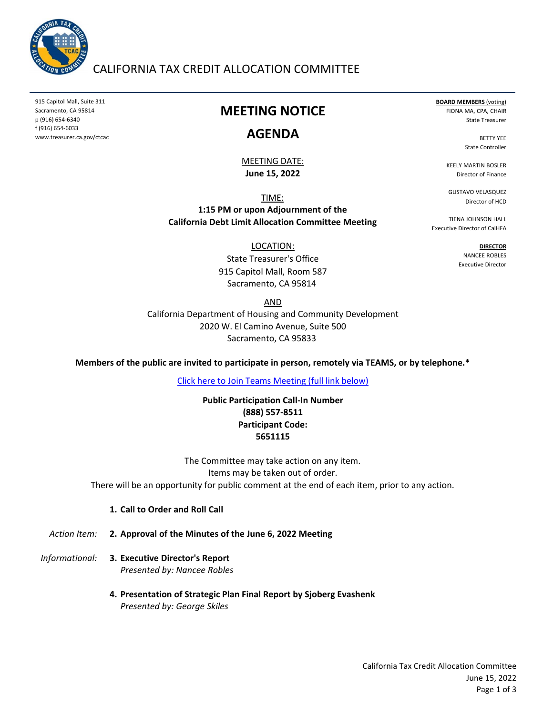

## CALIFORNIA TAX CREDIT ALLOCATION COMMITTEE

915 Capitol Mall, Suite 311 Sacramento, CA 95814 p (916) 654‐6340 f (916) 654‐6033 www.treasurer.ca.gov/ctcac

## **MEETING NOTICE**

### **AGENDA**

#### **June 15, 2022** MEETING DATE:

TIME:

**1:15 PM or upon Adjournment of the California Debt Limit Allocation Committee Meeting**

LOCATION:

915 Capitol Mall, Room 587 Sacramento, CA 95814 State Treasurer's Office

AND

Sacramento, CA 95833 California Department of Housing and Community Development 2020 W. El Camino Avenue, Suite 500

**Members of the public are invited to participate in person, remotely via TEAMS, or by telephone.\***

[Click here to Join Teams Meeting \(full link below\)](https://teams.microsoft.com/l/meetup-join/19%3ameeting_ZjI5M2FhYjAtYjdlZi00MzkyLTkxNmYtMjI5YzRhMTRjZjQw%40thread.v2/0?context=%7b%22Tid%22%3a%223bee5c8a-6cb4-4c10-a77b-cd2eaeb7534e%22%2c%22Oid%22%3a%22f3fc5ca6-ee10-4849-9497-a76e07f79e6e%22%7d)

**Public Participation Call‐In Number (888) 557‐8511 Participant Code: 5651115**

There will be an opportunity for public comment at the end of each item, prior to any action. The Committee may take action on any item. Items may be taken out of order.

**1. Call to Order and Roll Call**

*Action Item:* **2. Approval of the Minutes of the June 6, 2022 Meeting**

- *Informational:* **3. Executive Director's Report** *Presented by: Nancee Robles*
	- **4. Presentation of Strategic Plan Final Report by Sjoberg Evashenk** *Presented by: George Skiles*

**BOARD MEMBERS** (voting) FIONA MA, CPA, CHAIR State Treasurer

> BETTY YEE State Controller

KEELY MARTIN BOSLER Director of Finance

GUSTAVO VELASQUEZ Director of HCD

TIENA JOHNSON HALL Executive Director of CalHFA

> **DIRECTOR** NANCEE ROBLES Executive Director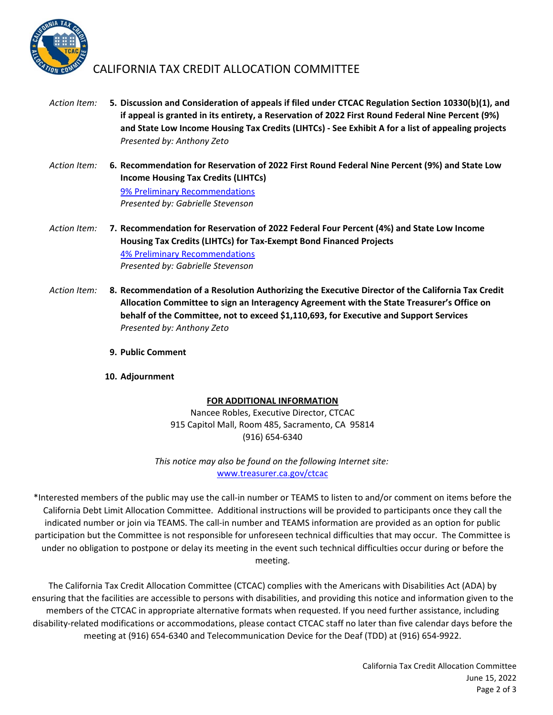

## CALIFORNIA TAX CREDIT ALLOCATION COMMITTEE

- *Action Item:* **5.** *Presented by: Anthony Zeto* **Discussion and Consideration of appeals if filed under CTCAC Regulation Section 10330(b)(1), and if appeal is granted in its entirety, a Reservation of 2022 First Round Federal Nine Percent (9%) and State Low Income Housing Tax Credits (LIHTCs) ‐ See Exhibit A for a list of appealing projects**
- *Action Item:* **6. Recommendation for Reservation of 2022 First Round Federal Nine Percent (9%) and State Low Income Housing Tax Credits (LIHTCs)** *Presented by: Gabrielle Stevenson* [9% Preliminary Recommendations](https://www.treasurer.ca.gov/ctcac/2022/firstround/2022firstroundpreliminary.pdf)
- *Action Item:* **7. Recommendation for Reservation of 2022 Federal Four Percent (4%) and State Low Income Housing Tax Credits (LIHTCs) for Tax‐Exempt Bond Financed Projects** *Presented by: Gabrielle Stevenson* [4% Preliminary Recommendations](https://www.treasurer.ca.gov/cdlac/programyear/2022/02_June_15_Allocation_Meeting/10_Qualified_Residential_Rental_Projects_Round_1_Final_Recommendation_List.pdf)
- *Action Item:* **8. Recommendation of a Resolution Authorizing the Executive Director of the California Tax Credit Allocation Committee to sign an Interagency Agreement with the State Treasurer's Office on behalf of the Committee, not to exceed \$1,110,693, for Executive and Support Services** *Presented by: Anthony Zeto*
	- **9. Public Comment**
	- **10. Adjournment**

#### **FOR ADDITIONAL INFORMATION**

Nancee Robles, Executive Director, CTCAC 915 Capitol Mall, Room 485, Sacramento, CA 95814 (916) 654‐6340

*This notice may also be found on the following Internet site:* www.treasurer.ca.gov/ctcac

\*Interested members of the public may use the call‐in number or TEAMS to listen to and/or comment on items before the California Debt Limit Allocation Committee. Additional instructions will be provided to participants once they call the indicated number or join via TEAMS. The call‐in number and TEAMS information are provided as an option for public participation but the Committee is not responsible for unforeseen technical difficulties that may occur. The Committee is under no obligation to postpone or delay its meeting in the event such technical difficulties occur during or before the meeting.

The California Tax Credit Allocation Committee (CTCAC) complies with the Americans with Disabilities Act (ADA) by ensuring that the facilities are accessible to persons with disabilities, and providing this notice and information given to the members of the CTCAC in appropriate alternative formats when requested. If you need further assistance, including disability‐related modifications or accommodations, please contact CTCAC staff no later than five calendar days before the meeting at (916) 654‐6340 and Telecommunication Device for the Deaf (TDD) at (916) 654‐9922.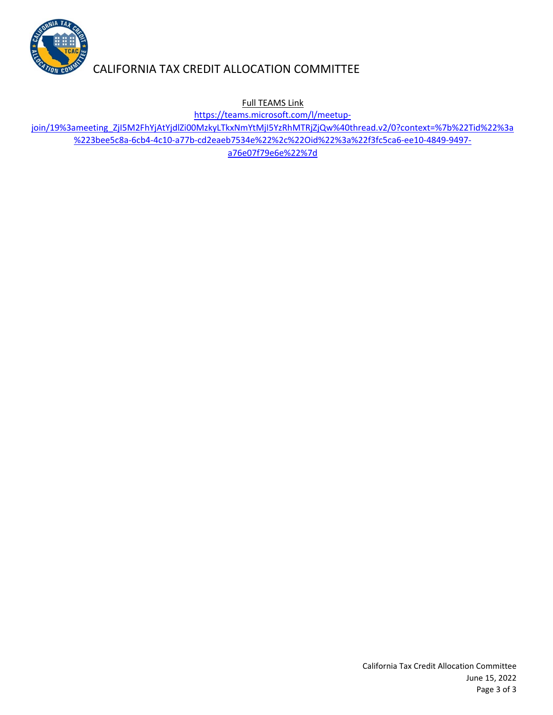

# CALIFORNIA TAX CREDIT ALLOCATION COMMITTEE

Full TEAMS Link

https://teams.microsoft.com/l/meetup‐

[join/19%3ameeting\\_ZjI5M2FhYjAtYjdlZi00MzkyLTkxNmYtMjI5YzRhMTRjZjQw%40thread.v2/0?context=%7b%22Tid%22%3a](https://teams.microsoft.com/l/meetup-join/19%3ameeting_ZjI5M2FhYjAtYjdlZi00MzkyLTkxNmYtMjI5YzRhMTRjZjQw%40thread.v2/0?context=%7b%22Tid%22%3a%223bee5c8a-6cb4-4c10-a77b-cd2eaeb7534e%22%2c%22Oid%22%3a%22f3fc5ca6-ee10-4849-9497-a76e07f79e6e%22%7d) %223bee5c8a‐6cb4‐4c10‐a77b‐cd2eaeb7534e%22%2c%22Oid%22%3a%22f3fc5ca6‐ee10‐4849‐9497‐ a76e07f79e6e%22%7d